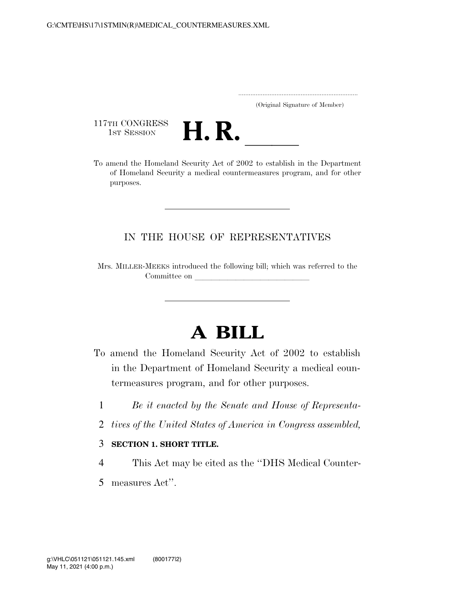..................................................................... (Original Signature of Member)

117TH CONGRESS<br>1st Session



117TH CONGRESS<br>1st SESSION **H. R.** <u>Internative Act of 2002</u> to establish in the Department of Homeland Security a medical countermeasures program, and for other purposes.

## IN THE HOUSE OF REPRESENTATIVES

Mrs. MILLER-MEEKS introduced the following bill; which was referred to the Committee on

# **A BILL**

- To amend the Homeland Security Act of 2002 to establish in the Department of Homeland Security a medical countermeasures program, and for other purposes.
	- 1 *Be it enacted by the Senate and House of Representa-*
	- 2 *tives of the United States of America in Congress assembled,*

### 3 **SECTION 1. SHORT TITLE.**

- 4 This Act may be cited as the ''DHS Medical Counter-
- 5 measures Act''.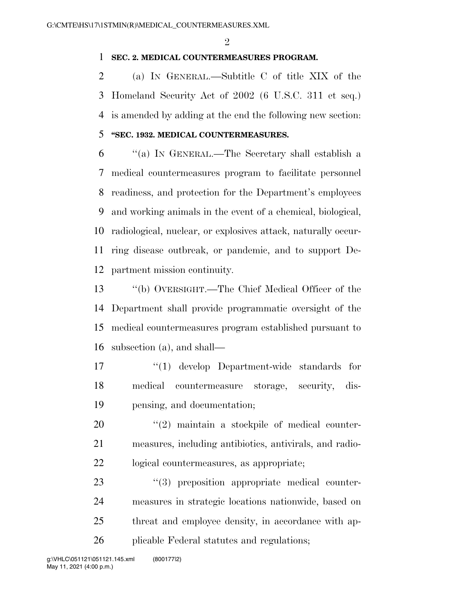$\mathfrak{D}$ 

#### **SEC. 2. MEDICAL COUNTERMEASURES PROGRAM.**

 (a) IN GENERAL.—Subtitle C of title XIX of the Homeland Security Act of 2002 (6 U.S.C. 311 et seq.) is amended by adding at the end the following new section:

## **''SEC. 1932. MEDICAL COUNTERMEASURES.**

 ''(a) IN GENERAL.—The Secretary shall establish a medical countermeasures program to facilitate personnel readiness, and protection for the Department's employees and working animals in the event of a chemical, biological, radiological, nuclear, or explosives attack, naturally occur- ring disease outbreak, or pandemic, and to support De-partment mission continuity.

 ''(b) OVERSIGHT.—The Chief Medical Officer of the Department shall provide programmatic oversight of the medical countermeasures program established pursuant to subsection (a), and shall—

17 ''(1) develop Department-wide standards for medical countermeasure storage, security, dis-pensing, and documentation;

 ''(2) maintain a stockpile of medical counter- measures, including antibiotics, antivirals, and radio-logical countermeasures, as appropriate;

 $(3)$  preposition appropriate medical counter- measures in strategic locations nationwide, based on threat and employee density, in accordance with ap-plicable Federal statutes and regulations;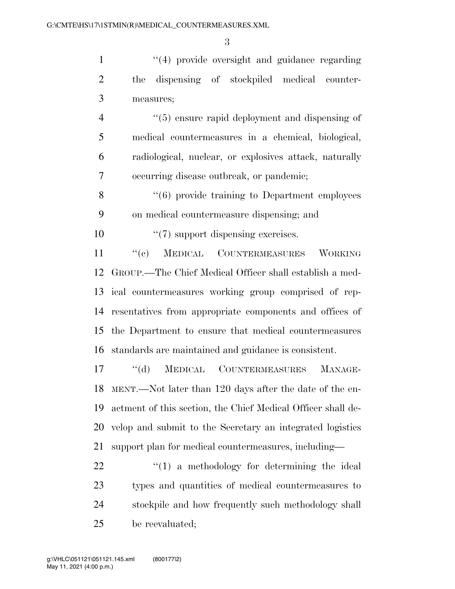1 ''(4) provide oversight and guidance regarding the dispensing of stockpiled medical counter-measures;

 ''(5) ensure rapid deployment and dispensing of medical countermeasures in a chemical, biological, radiological, nuclear, or explosives attack, naturally occurring disease outbreak, or pandemic;

8 "(6) provide training to Department employees on medical countermeasure dispensing; and

10  $\frac{10}{2}$  (7) support dispensing exercises.

11 "(c) MEDICAL COUNTERMEASURES WORKING GROUP.—The Chief Medical Officer shall establish a med- ical countermeasures working group comprised of rep- resentatives from appropriate components and offices of the Department to ensure that medical countermeasures standards are maintained and guidance is consistent.

 ''(d) MEDICAL COUNTERMEASURES MANAGE- MENT.—Not later than 120 days after the date of the en- actment of this section, the Chief Medical Officer shall de- velop and submit to the Secretary an integrated logistics support plan for medical countermeasures, including—

 "(1) a methodology for determining the ideal types and quantities of medical countermeasures to stockpile and how frequently such methodology shall be reevaluated;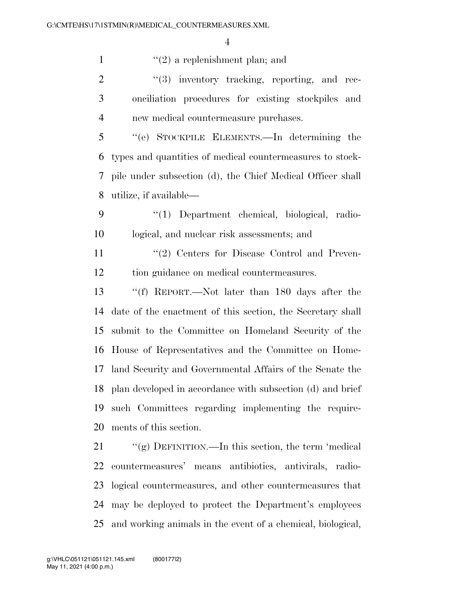1  $\frac{1}{2}$  a replenishment plan; and

 ''(3) inventory tracking, reporting, and rec- onciliation procedures for existing stockpiles and new medical countermeasure purchases.

 ''(e) STOCKPILE ELEMENTS.—In determining the types and quantities of medical countermeasures to stock- pile under subsection (d), the Chief Medical Officer shall utilize, if available—

 ''(1) Department chemical, biological, radio-logical, and nuclear risk assessments; and

11 ''(2) Centers for Disease Control and Preven-tion guidance on medical countermeasures.

 ''(f) REPORT.—Not later than 180 days after the date of the enactment of this section, the Secretary shall submit to the Committee on Homeland Security of the House of Representatives and the Committee on Home- land Security and Governmental Affairs of the Senate the plan developed in accordance with subsection (d) and brief such Committees regarding implementing the require-ments of this section.

21 ""(g) DEFINITION.—In this section, the term 'medical countermeasures' means antibiotics, antivirals, radio- logical countermeasures, and other countermeasures that may be deployed to protect the Department's employees and working animals in the event of a chemical, biological,